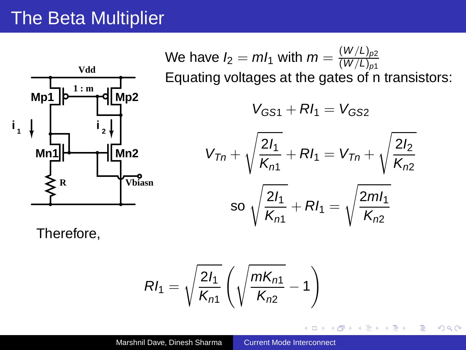## The Beta Multiplier



We have 
$$
l_2 = ml_1
$$
 with  $m = \frac{(W/L)_{p2}}{(W/L)_{p1}}$  \nEquating voltages at the gates of n transistors: \n $V_{GS1} + Rl_1 = V_{GS2}$ \n $V_{Tn} + \sqrt{\frac{2l_1}{K_{n1}}} + Rl_1 = V_{Tn} + \sqrt{\frac{2l_2}{K_{n2}}}$ \n\nso  $\sqrt{\frac{2l_1}{K_{n1}}} + Rl_1 = \sqrt{\frac{2ml_1}{K_{n2}}}$ 

 $\leftarrow$   $\Box$ ×.

<span id="page-0-0"></span>個→ イヨ > イヨ >

重

 $298$ 

Therefore,

$$
RI_1 = \sqrt{\frac{2I_1}{K_{n1}}} \left( \sqrt{\frac{mK_{n1}}{K_{n2}}} - 1 \right)
$$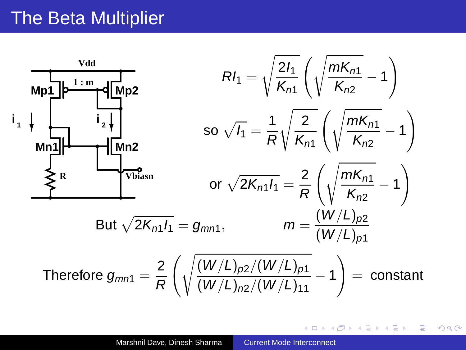## The Beta Multiplier



イロト イ押ト イヨト イヨト

B

 $QQ$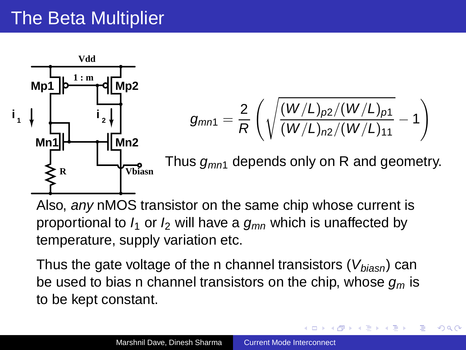## The Beta Multiplier



$$
g_{mn1}=\frac{2}{R}\left(\sqrt{\frac{(W/L)_{p2}/(W/L)_{p1}}{(W/L)_{n2}/(W/L)_{11}}}-1\right)
$$

Thus  $q_{mn1}$  depends only on R and geometry.

医单头 化重变

 $QQ$ 

Also, any nMOS transistor on the same chip whose current is proportional to  $I_1$  or  $I_2$  will have a  $g_{mn}$  which is unaffected by temperature, supply variation etc.

Thus the gate voltage of the n channel transistors  $(V_{biasn})$  can be used to bias n channel transistors on the chip, whose  $q_m$  is to be kept constant.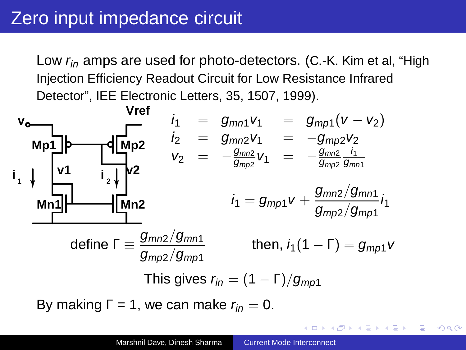Low  $r_{in}$  amps are used for photo-detectors. (C.-K. Kim et al, "High Injection Efficiency Readout Circuit for Low Resistance Infrared Detector", IEE Electronic Letters, 35, 1507, 1999).



<span id="page-3-0"></span> $\mathbf{E} = \mathbf{A} \oplus \mathbf{B} \mathbf{A} + \mathbf{B} \mathbf{B} + \mathbf{A} \oplus \mathbf{B} + \mathbf{A} \oplus \mathbf{B}$ 

 $2Q$